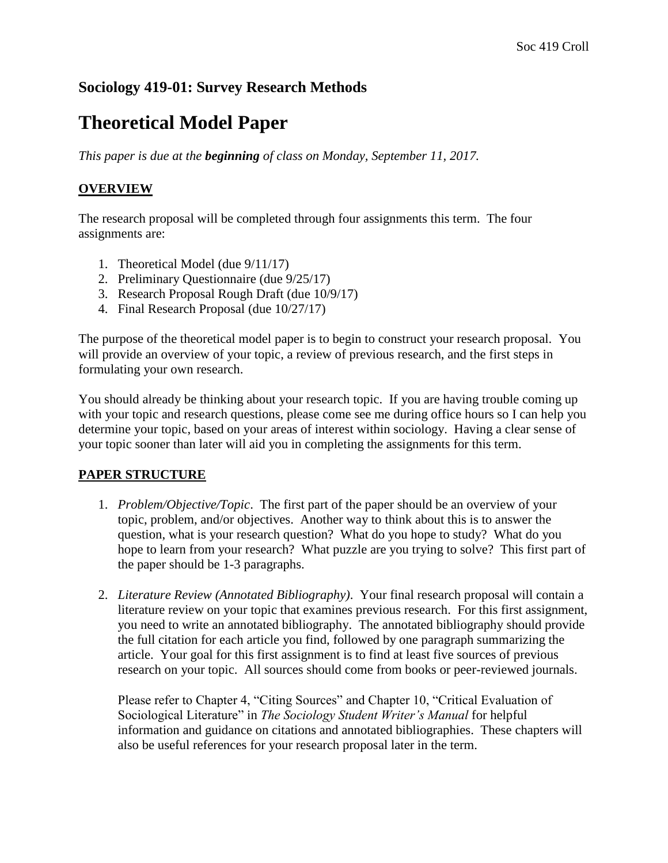## **Sociology 419-01: Survey Research Methods**

## **Theoretical Model Paper**

*This paper is due at the beginning of class on Monday, September 11, 2017.*

## **OVERVIEW**

The research proposal will be completed through four assignments this term. The four assignments are:

- 1. Theoretical Model (due 9/11/17)
- 2. Preliminary Questionnaire (due 9/25/17)
- 3. Research Proposal Rough Draft (due 10/9/17)
- 4. Final Research Proposal (due 10/27/17)

The purpose of the theoretical model paper is to begin to construct your research proposal. You will provide an overview of your topic, a review of previous research, and the first steps in formulating your own research.

You should already be thinking about your research topic. If you are having trouble coming up with your topic and research questions, please come see me during office hours so I can help you determine your topic, based on your areas of interest within sociology. Having a clear sense of your topic sooner than later will aid you in completing the assignments for this term.

## **PAPER STRUCTURE**

- 1. *Problem/Objective/Topic*. The first part of the paper should be an overview of your topic, problem, and/or objectives. Another way to think about this is to answer the question, what is your research question? What do you hope to study? What do you hope to learn from your research? What puzzle are you trying to solve? This first part of the paper should be 1-3 paragraphs.
- 2. *Literature Review (Annotated Bibliography)*. Your final research proposal will contain a literature review on your topic that examines previous research. For this first assignment, you need to write an annotated bibliography. The annotated bibliography should provide the full citation for each article you find, followed by one paragraph summarizing the article. Your goal for this first assignment is to find at least five sources of previous research on your topic. All sources should come from books or peer-reviewed journals.

Please refer to Chapter 4, "Citing Sources" and Chapter 10, "Critical Evaluation of Sociological Literature" in *The Sociology Student Writer's Manual* for helpful information and guidance on citations and annotated bibliographies. These chapters will also be useful references for your research proposal later in the term.